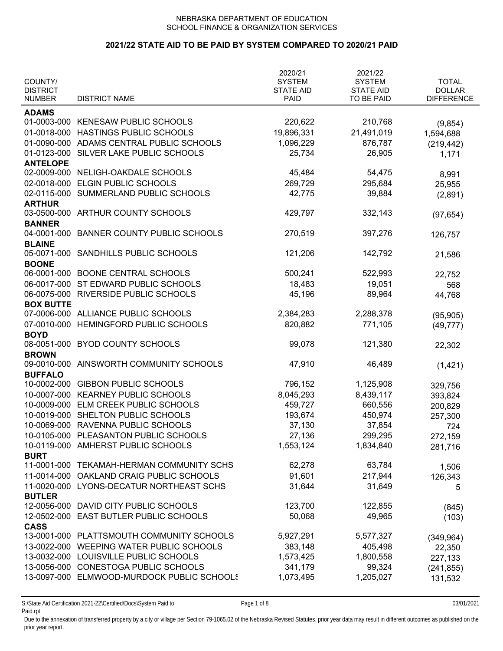### **2021/22 STATE AID TO BE PAID BY SYSTEM COMPARED TO 2020/21 PAID**

| COUNTY/<br><b>DISTRICT</b> |                                            | 2020/21<br><b>SYSTEM</b><br><b>STATE AID</b> | 2021/22<br><b>SYSTEM</b><br><b>STATE AID</b> | <b>TOTAL</b><br><b>DOLLAR</b> |
|----------------------------|--------------------------------------------|----------------------------------------------|----------------------------------------------|-------------------------------|
| <b>NUMBER</b>              | <b>DISTRICT NAME</b>                       | <b>PAID</b>                                  | TO BE PAID                                   | <b>DIFFERENCE</b>             |
| <b>ADAMS</b>               |                                            |                                              |                                              |                               |
|                            | 01-0003-000 KENESAW PUBLIC SCHOOLS         | 220,622                                      | 210,768                                      | (9, 854)                      |
| 01-0018-000                | HASTINGS PUBLIC SCHOOLS                    | 19,896,331                                   | 21,491,019                                   | 1,594,688                     |
| 01-0090-000                | ADAMS CENTRAL PUBLIC SCHOOLS               | 1,096,229                                    | 876,787                                      | (219, 442)                    |
| 01-0123-000                | SILVER LAKE PUBLIC SCHOOLS                 | 25,734                                       | 26,905                                       | 1,171                         |
| <b>ANTELOPE</b>            |                                            |                                              |                                              |                               |
|                            | 02-0009-000 NELIGH-OAKDALE SCHOOLS         | 45,484                                       | 54,475                                       | 8,991                         |
| 02-0018-000                | ELGIN PUBLIC SCHOOLS                       | 269,729                                      | 295,684                                      | 25,955                        |
| 02-0115-000                | SUMMERLAND PUBLIC SCHOOLS                  | 42,775                                       | 39,884                                       | (2,891)                       |
| <b>ARTHUR</b>              |                                            |                                              |                                              |                               |
| 03-0500-000                | ARTHUR COUNTY SCHOOLS                      | 429,797                                      | 332,143                                      | (97, 654)                     |
| <b>BANNER</b>              |                                            |                                              |                                              |                               |
| 04-0001-000                | <b>BANNER COUNTY PUBLIC SCHOOLS</b>        | 270,519                                      | 397,276                                      | 126,757                       |
| <b>BLAINE</b>              |                                            |                                              |                                              |                               |
| 05-0071-000                | SANDHILLS PUBLIC SCHOOLS                   | 121,206                                      | 142,792                                      | 21,586                        |
| <b>BOONE</b>               |                                            |                                              |                                              |                               |
| 06-0001-000                | <b>BOONE CENTRAL SCHOOLS</b>               | 500,241                                      | 522,993                                      | 22,752                        |
| 06-0017-000                | ST EDWARD PUBLIC SCHOOLS                   | 18,483                                       | 19,051                                       | 568                           |
| 06-0075-000                | <b>RIVERSIDE PUBLIC SCHOOLS</b>            | 45,196                                       | 89,964                                       | 44,768                        |
| <b>BOX BUTTE</b>           |                                            |                                              |                                              |                               |
| 07-0006-000                | ALLIANCE PUBLIC SCHOOLS                    | 2,384,283                                    | 2,288,378                                    | (95, 905)                     |
| 07-0010-000                | HEMINGFORD PUBLIC SCHOOLS                  | 820,882                                      | 771,105                                      | (49, 777)                     |
| <b>BOYD</b>                |                                            |                                              |                                              |                               |
| 08-0051-000                | <b>BYOD COUNTY SCHOOLS</b>                 | 99,078                                       | 121,380                                      | 22,302                        |
| <b>BROWN</b>               |                                            |                                              |                                              |                               |
| 09-0010-000                | AINSWORTH COMMUNITY SCHOOLS                | 47,910                                       | 46,489                                       | (1,421)                       |
| <b>BUFFALO</b>             |                                            |                                              |                                              |                               |
|                            | 10-0002-000 GIBBON PUBLIC SCHOOLS          | 796,152                                      | 1,125,908                                    | 329,756                       |
|                            | 10-0007-000 KEARNEY PUBLIC SCHOOLS         | 8,045,293                                    | 8,439,117                                    | 393,824                       |
|                            | 10-0009-000 ELM CREEK PUBLIC SCHOOLS       | 459,727                                      | 660,556                                      | 200,829                       |
|                            | 10-0019-000 SHELTON PUBLIC SCHOOLS         | 193,674                                      | 450,974                                      | 257,300                       |
|                            | 10-0069-000 RAVENNA PUBLIC SCHOOLS         | 37,130                                       | 37,854                                       | 724                           |
|                            | 10-0105-000 PLEASANTON PUBLIC SCHOOLS      | 27,136                                       | 299,295                                      | 272,159                       |
|                            | 10-0119-000 AMHERST PUBLIC SCHOOLS         | 1,553,124                                    | 1,834,840                                    | 281,716                       |
| <b>BURT</b>                |                                            |                                              |                                              |                               |
|                            | 11-0001-000 TEKAMAH-HERMAN COMMUNITY SCHS  | 62,278                                       | 63,784                                       | 1,506                         |
|                            | 11-0014-000 OAKLAND CRAIG PUBLIC SCHOOLS   | 91,601                                       | 217,944                                      | 126,343                       |
|                            | 11-0020-000 LYONS-DECATUR NORTHEAST SCHS   | 31,644                                       | 31,649                                       | 5                             |
| <b>BUTLER</b>              |                                            |                                              |                                              |                               |
| 12-0056-000                | DAVID CITY PUBLIC SCHOOLS                  | 123,700                                      | 122,855                                      | (845)                         |
| 12-0502-000                | EAST BUTLER PUBLIC SCHOOLS                 | 50,068                                       | 49,965                                       | (103)                         |
| <b>CASS</b>                |                                            |                                              |                                              |                               |
|                            | 13-0001-000 PLATTSMOUTH COMMUNITY SCHOOLS  | 5,927,291                                    | 5,577,327                                    | (349, 964)                    |
|                            | 13-0022-000 WEEPING WATER PUBLIC SCHOOLS   | 383,148                                      | 405,498                                      | 22,350                        |
|                            | 13-0032-000 LOUISVILLE PUBLIC SCHOOLS      | 1,573,425                                    | 1,800,558                                    | 227,133                       |
|                            | 13-0056-000 CONESTOGA PUBLIC SCHOOLS       | 341,179                                      | 99,324                                       | (241, 855)                    |
|                            | 13-0097-000 ELMWOOD-MURDOCK PUBLIC SCHOOLS | 1,073,495                                    | 1,205,027                                    | 131,532                       |
|                            |                                            |                                              |                                              |                               |

S:\State Aid Certification 2021-22\Certified\Docs\System Paid to Page 1 of 8 03/01/2021 Paid.rpt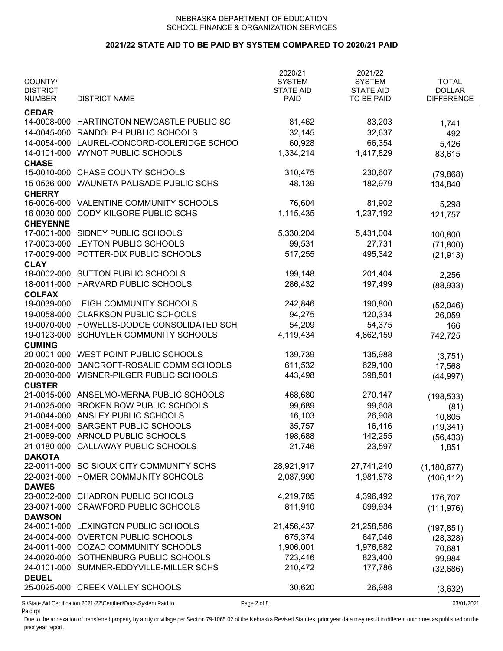# **2021/22 STATE AID TO BE PAID BY SYSTEM COMPARED TO 2020/21 PAID**

| COUNTY/<br><b>DISTRICT</b><br><b>NUMBER</b> | <b>DISTRICT NAME</b>                       | 2020/21<br><b>SYSTEM</b><br><b>STATE AID</b><br><b>PAID</b> | 2021/22<br><b>SYSTEM</b><br><b>STATE AID</b><br>TO BE PAID | <b>TOTAL</b><br><b>DOLLAR</b><br><b>DIFFERENCE</b> |
|---------------------------------------------|--------------------------------------------|-------------------------------------------------------------|------------------------------------------------------------|----------------------------------------------------|
|                                             |                                            |                                                             |                                                            |                                                    |
| <b>CEDAR</b>                                | 14-0008-000 HARTINGTON NEWCASTLE PUBLIC SC |                                                             |                                                            |                                                    |
|                                             |                                            | 81,462                                                      | 83,203                                                     | 1,741                                              |
|                                             | 14-0045-000 RANDOLPH PUBLIC SCHOOLS        | 32,145                                                      | 32,637                                                     | 492                                                |
|                                             | 14-0054-000 LAUREL-CONCORD-COLERIDGE SCHOO | 60,928                                                      | 66,354                                                     | 5,426                                              |
| 14-0101-000                                 | <b>WYNOT PUBLIC SCHOOLS</b>                | 1,334,214                                                   | 1,417,829                                                  | 83,615                                             |
| <b>CHASE</b>                                |                                            |                                                             |                                                            |                                                    |
| 15-0010-000                                 | <b>CHASE COUNTY SCHOOLS</b>                | 310,475                                                     | 230,607                                                    | (79, 868)                                          |
| 15-0536-000                                 | WAUNETA-PALISADE PUBLIC SCHS               | 48,139                                                      | 182,979                                                    | 134,840                                            |
| <b>CHERRY</b>                               |                                            |                                                             |                                                            |                                                    |
| 16-0006-000                                 | VALENTINE COMMUNITY SCHOOLS                | 76,604                                                      | 81,902                                                     | 5,298                                              |
| 16-0030-000                                 | CODY-KILGORE PUBLIC SCHS                   | 1,115,435                                                   | 1,237,192                                                  | 121,757                                            |
| <b>CHEYENNE</b>                             |                                            |                                                             |                                                            |                                                    |
| 17-0001-000                                 | SIDNEY PUBLIC SCHOOLS                      | 5,330,204                                                   | 5,431,004                                                  | 100,800                                            |
| 17-0003-000                                 | LEYTON PUBLIC SCHOOLS                      | 99,531                                                      | 27,731                                                     | (71, 800)                                          |
| 17-0009-000                                 | POTTER-DIX PUBLIC SCHOOLS                  | 517,255                                                     | 495,342                                                    | (21, 913)                                          |
| <b>CLAY</b>                                 |                                            |                                                             |                                                            |                                                    |
| 18-0002-000                                 | <b>SUTTON PUBLIC SCHOOLS</b>               | 199,148                                                     | 201,404                                                    | 2,256                                              |
|                                             | 18-0011-000 HARVARD PUBLIC SCHOOLS         | 286,432                                                     | 197,499                                                    | (88, 933)                                          |
| <b>COLFAX</b>                               |                                            |                                                             |                                                            |                                                    |
|                                             | 19-0039-000 LEIGH COMMUNITY SCHOOLS        | 242,846                                                     | 190,800                                                    | (52,046)                                           |
| 19-0058-000                                 | <b>CLARKSON PUBLIC SCHOOLS</b>             | 94,275                                                      | 120,334                                                    | 26,059                                             |
|                                             | 19-0070-000 HOWELLS-DODGE CONSOLIDATED SCH | 54,209                                                      | 54,375                                                     | 166                                                |
| 19-0123-000                                 | SCHUYLER COMMUNITY SCHOOLS                 | 4,119,434                                                   | 4,862,159                                                  | 742,725                                            |
| <b>CUMING</b>                               |                                            |                                                             |                                                            |                                                    |
|                                             | 20-0001-000 WEST POINT PUBLIC SCHOOLS      | 139,739                                                     | 135,988                                                    | (3,751)                                            |
| 20-0020-000                                 | BANCROFT-ROSALIE COMM SCHOOLS              | 611,532                                                     | 629,100                                                    | 17,568                                             |
| 20-0030-000                                 | WISNER-PILGER PUBLIC SCHOOLS               | 443,498                                                     | 398,501                                                    | (44, 997)                                          |
| <b>CUSTER</b>                               |                                            |                                                             |                                                            |                                                    |
|                                             | 21-0015-000 ANSELMO-MERNA PUBLIC SCHOOLS   | 468,680                                                     | 270,147                                                    | (198, 533)                                         |
| 21-0025-000                                 | <b>BROKEN BOW PUBLIC SCHOOLS</b>           | 99,689                                                      | 99,608                                                     | (81)                                               |
| 21-0044-000                                 | ANSLEY PUBLIC SCHOOLS                      | 16,103                                                      | 26,908                                                     | 10,805                                             |
| 21-0084-000                                 | SARGENT PUBLIC SCHOOLS                     | 35,757                                                      | 16,416                                                     | (19, 341)                                          |
|                                             | 21-0089-000 ARNOLD PUBLIC SCHOOLS          | 198,688                                                     | 142,255                                                    | (56, 433)                                          |
| 21-0180-000                                 | CALLAWAY PUBLIC SCHOOLS                    | 21,746                                                      | 23,597                                                     |                                                    |
| <b>DAKOTA</b>                               |                                            |                                                             |                                                            | 1,851                                              |
|                                             | 22-0011-000 SO SIOUX CITY COMMUNITY SCHS   | 28,921,917                                                  | 27,741,240                                                 |                                                    |
|                                             | 22-0031-000 HOMER COMMUNITY SCHOOLS        | 2,087,990                                                   | 1,981,878                                                  | (1, 180, 677)                                      |
| <b>DAWES</b>                                |                                            |                                                             |                                                            | (106, 112)                                         |
| 23-0002-000                                 | <b>CHADRON PUBLIC SCHOOLS</b>              | 4,219,785                                                   | 4,396,492                                                  |                                                    |
|                                             | 23-0071-000 CRAWFORD PUBLIC SCHOOLS        | 811,910                                                     | 699,934                                                    | 176,707                                            |
|                                             |                                            |                                                             |                                                            | (111, 976)                                         |
| <b>DAWSON</b>                               | 24-0001-000 LEXINGTON PUBLIC SCHOOLS       | 21,456,437                                                  | 21,258,586                                                 |                                                    |
|                                             |                                            |                                                             |                                                            | (197, 851)                                         |
|                                             | 24-0004-000 OVERTON PUBLIC SCHOOLS         | 675,374                                                     | 647,046                                                    | (28, 328)                                          |
|                                             | 24-0011-000 COZAD COMMUNITY SCHOOLS        | 1,906,001                                                   | 1,976,682                                                  | 70,681                                             |
|                                             | 24-0020-000 GOTHENBURG PUBLIC SCHOOLS      | 723,416                                                     | 823,400                                                    | 99,984                                             |
|                                             | 24-0101-000 SUMNER-EDDYVILLE-MILLER SCHS   | 210,472                                                     | 177,786                                                    | (32,686)                                           |
| <b>DEUEL</b>                                |                                            |                                                             |                                                            |                                                    |
|                                             | 25-0025-000 CREEK VALLEY SCHOOLS           | 30,620                                                      | 26,988                                                     | (3,632)                                            |

Paid.rpt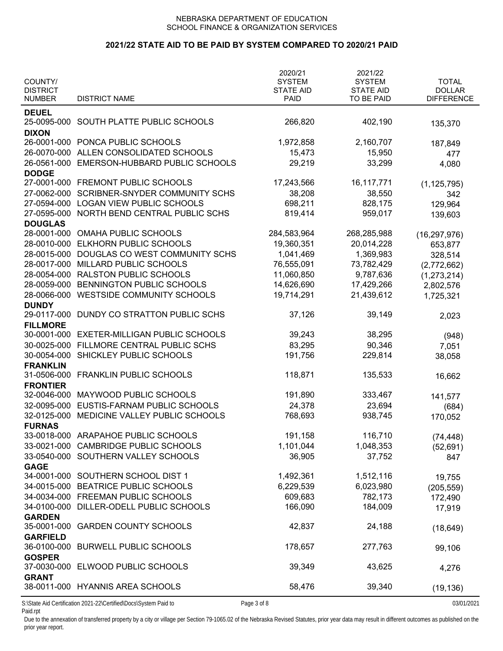### **2021/22 STATE AID TO BE PAID BY SYSTEM COMPARED TO 2020/21 PAID**

| COUNTY/<br><b>DISTRICT</b><br><b>NUMBER</b>                                     | <b>DISTRICT NAME</b>                       | 2020/21<br><b>SYSTEM</b><br><b>STATE AID</b><br><b>PAID</b> | 2021/22<br><b>SYSTEM</b><br><b>STATE AID</b><br>TO BE PAID | <b>TOTAL</b><br><b>DOLLAR</b><br><b>DIFFERENCE</b> |
|---------------------------------------------------------------------------------|--------------------------------------------|-------------------------------------------------------------|------------------------------------------------------------|----------------------------------------------------|
| <b>DEUEL</b>                                                                    |                                            |                                                             |                                                            |                                                    |
|                                                                                 | 25-0095-000 SOUTH PLATTE PUBLIC SCHOOLS    | 266,820                                                     | 402,190                                                    | 135,370                                            |
| <b>DIXON</b>                                                                    | 26-0001-000 PONCA PUBLIC SCHOOLS           | 1,972,858                                                   | 2,160,707                                                  |                                                    |
|                                                                                 | 26-0070-000 ALLEN CONSOLIDATED SCHOOLS     | 15,473                                                      | 15,950                                                     | 187,849<br>477                                     |
|                                                                                 | 26-0561-000 EMERSON-HUBBARD PUBLIC SCHOOLS | 29,219                                                      | 33,299                                                     |                                                    |
| <b>DODGE</b>                                                                    |                                            |                                                             |                                                            | 4,080                                              |
|                                                                                 | 27-0001-000 FREMONT PUBLIC SCHOOLS         | 17,243,566                                                  | 16, 117, 771                                               | (1, 125, 795)                                      |
| 27-0062-000                                                                     | SCRIBNER-SNYDER COMMUNITY SCHS             | 38,208                                                      | 38,550                                                     | 342                                                |
|                                                                                 | 27-0594-000 LOGAN VIEW PUBLIC SCHOOLS      | 698,211                                                     | 828,175                                                    | 129,964                                            |
| 27-0595-000                                                                     | NORTH BEND CENTRAL PUBLIC SCHS             | 819,414                                                     | 959,017                                                    | 139,603                                            |
| <b>DOUGLAS</b>                                                                  |                                            |                                                             |                                                            |                                                    |
| 28-0001-000                                                                     | <b>OMAHA PUBLIC SCHOOLS</b>                | 284,583,964                                                 | 268,285,988                                                | (16, 297, 976)                                     |
| 28-0010-000                                                                     | ELKHORN PUBLIC SCHOOLS                     | 19,360,351                                                  | 20,014,228                                                 | 653,877                                            |
|                                                                                 | 28-0015-000 DOUGLAS CO WEST COMMUNITY SCHS | 1,041,469                                                   | 1,369,983                                                  | 328,514                                            |
|                                                                                 | 28-0017-000 MILLARD PUBLIC SCHOOLS         | 76,555,091                                                  | 73,782,429                                                 | (2,772,662)                                        |
|                                                                                 | 28-0054-000 RALSTON PUBLIC SCHOOLS         | 11,060,850                                                  | 9,787,636                                                  | (1, 273, 214)                                      |
|                                                                                 | 28-0059-000 BENNINGTON PUBLIC SCHOOLS      | 14,626,690                                                  | 17,429,266                                                 | 2,802,576                                          |
|                                                                                 | 28-0066-000 WESTSIDE COMMUNITY SCHOOLS     | 19,714,291                                                  | 21,439,612                                                 | 1,725,321                                          |
| <b>DUNDY</b>                                                                    |                                            |                                                             |                                                            |                                                    |
| 29-0117-000                                                                     | DUNDY CO STRATTON PUBLIC SCHS              | 37,126                                                      | 39,149                                                     | 2,023                                              |
| <b>FILLMORE</b>                                                                 |                                            |                                                             |                                                            |                                                    |
| 30-0001-000                                                                     | EXETER-MILLIGAN PUBLIC SCHOOLS             | 39,243                                                      | 38,295                                                     | (948)                                              |
| 30-0025-000                                                                     | FILLMORE CENTRAL PUBLIC SCHS               | 83,295                                                      | 90,346                                                     | 7,051                                              |
|                                                                                 | 30-0054-000 SHICKLEY PUBLIC SCHOOLS        | 191,756                                                     | 229,814                                                    | 38,058                                             |
| <b>FRANKLIN</b>                                                                 |                                            |                                                             |                                                            |                                                    |
|                                                                                 | 31-0506-000 FRANKLIN PUBLIC SCHOOLS        | 118,871                                                     | 135,533                                                    | 16,662                                             |
| <b>FRONTIER</b>                                                                 |                                            |                                                             |                                                            |                                                    |
|                                                                                 | 32-0046-000 MAYWOOD PUBLIC SCHOOLS         | 191,890                                                     | 333,467                                                    | 141,577                                            |
| 32-0095-000                                                                     | EUSTIS-FARNAM PUBLIC SCHOOLS               | 24,378                                                      | 23,694                                                     | (684)                                              |
| 32-0125-000                                                                     | MEDICINE VALLEY PUBLIC SCHOOLS             | 768,693                                                     | 938,745                                                    | 170,052                                            |
| <b>FURNAS</b>                                                                   |                                            |                                                             |                                                            |                                                    |
|                                                                                 | 33-0018-000 ARAPAHOE PUBLIC SCHOOLS        | 191,158                                                     | 116,710                                                    | (74, 448)                                          |
|                                                                                 | 33-0021-000 CAMBRIDGE PUBLIC SCHOOLS       | 1,101,044                                                   | 1,048,353                                                  | (52, 691)                                          |
|                                                                                 | 33-0540-000 SOUTHERN VALLEY SCHOOLS        | 36,905                                                      | 37,752                                                     | 847                                                |
| <b>GAGE</b>                                                                     |                                            |                                                             |                                                            |                                                    |
|                                                                                 | 34-0001-000 SOUTHERN SCHOOL DIST 1         | 1,492,361                                                   | 1,512,116                                                  | 19,755                                             |
|                                                                                 | 34-0015-000 BEATRICE PUBLIC SCHOOLS        | 6,229,539                                                   | 6,023,980                                                  | (205, 559)                                         |
|                                                                                 | 34-0034-000 FREEMAN PUBLIC SCHOOLS         | 609,683                                                     | 782,173                                                    | 172,490                                            |
|                                                                                 | 34-0100-000 DILLER-ODELL PUBLIC SCHOOLS    | 166,090                                                     | 184,009                                                    | 17,919                                             |
| <b>GARDEN</b>                                                                   |                                            |                                                             |                                                            |                                                    |
| 35-0001-000                                                                     | <b>GARDEN COUNTY SCHOOLS</b>               | 42,837                                                      | 24,188                                                     | (18, 649)                                          |
| <b>GARFIELD</b>                                                                 |                                            |                                                             |                                                            |                                                    |
|                                                                                 | 36-0100-000 BURWELL PUBLIC SCHOOLS         | 178,657                                                     | 277,763                                                    | 99,106                                             |
| <b>GOSPER</b>                                                                   |                                            |                                                             |                                                            |                                                    |
|                                                                                 | 37-0030-000 ELWOOD PUBLIC SCHOOLS          | 39,349                                                      | 43,625                                                     | 4,276                                              |
| <b>GRANT</b>                                                                    | 38-0011-000 HYANNIS AREA SCHOOLS           | 58,476                                                      | 39,340                                                     | (19, 136)                                          |
| S:\State Aid Certification 2021-22\Certified\Docs\System Paid to<br>Page 3 of 8 |                                            |                                                             |                                                            | 03/01/2021                                         |

Paid.rpt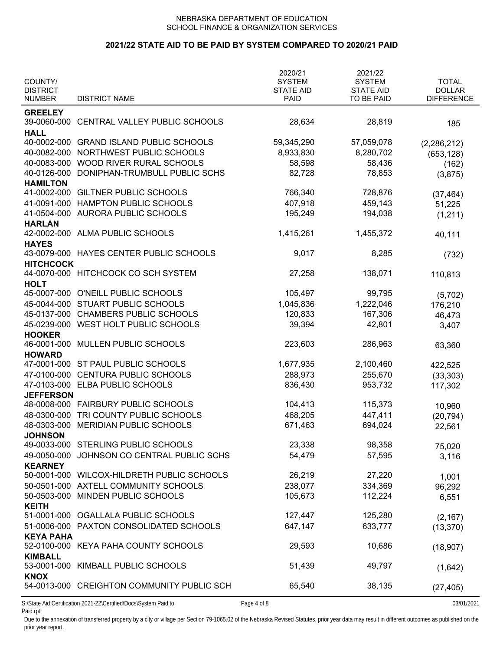### **2021/22 STATE AID TO BE PAID BY SYSTEM COMPARED TO 2020/21 PAID**

| COUNTY/<br><b>DISTRICT</b><br><b>NUMBER</b> | <b>DISTRICT NAME</b>                                                | 2020/21<br><b>SYSTEM</b><br><b>STATE AID</b><br><b>PAID</b> | 2021/22<br><b>SYSTEM</b><br><b>STATE AID</b><br>TO BE PAID | <b>TOTAL</b><br><b>DOLLAR</b><br><b>DIFFERENCE</b> |
|---------------------------------------------|---------------------------------------------------------------------|-------------------------------------------------------------|------------------------------------------------------------|----------------------------------------------------|
|                                             |                                                                     |                                                             |                                                            |                                                    |
| <b>GREELEY</b>                              | 39-0060-000 CENTRAL VALLEY PUBLIC SCHOOLS                           | 28,634                                                      | 28,819                                                     | 185                                                |
| <b>HALL</b><br>40-0002-000                  | <b>GRAND ISLAND PUBLIC SCHOOLS</b>                                  | 59,345,290                                                  | 57,059,078                                                 | (2,286,212)                                        |
| 40-0082-000                                 | NORTHWEST PUBLIC SCHOOLS                                            | 8,933,830                                                   | 8,280,702                                                  | (653, 128)                                         |
| 40-0083-000                                 | WOOD RIVER RURAL SCHOOLS                                            | 58,598                                                      | 58,436                                                     | (162)                                              |
| 40-0126-000                                 | DONIPHAN-TRUMBULL PUBLIC SCHS                                       | 82,728                                                      | 78,853                                                     | (3,875)                                            |
| <b>HAMILTON</b>                             |                                                                     |                                                             |                                                            |                                                    |
| 41-0002-000                                 | <b>GILTNER PUBLIC SCHOOLS</b>                                       | 766,340                                                     | 728,876                                                    | (37, 464)                                          |
| 41-0091-000                                 | HAMPTON PUBLIC SCHOOLS                                              | 407,918                                                     | 459,143                                                    | 51,225                                             |
| 41-0504-000                                 | AURORA PUBLIC SCHOOLS                                               | 195,249                                                     | 194,038                                                    | (1,211)                                            |
| <b>HARLAN</b>                               |                                                                     |                                                             |                                                            |                                                    |
| 42-0002-000                                 | <b>ALMA PUBLIC SCHOOLS</b>                                          | 1,415,261                                                   | 1,455,372                                                  | 40,111                                             |
| <b>HAYES</b>                                | 43-0079-000 HAYES CENTER PUBLIC SCHOOLS                             | 9,017                                                       | 8,285                                                      |                                                    |
| <b>HITCHCOCK</b>                            |                                                                     |                                                             |                                                            | (732)                                              |
| 44-0070-000                                 | HITCHCOCK CO SCH SYSTEM                                             | 27,258                                                      | 138,071                                                    | 110,813                                            |
| <b>HOLT</b>                                 |                                                                     |                                                             |                                                            |                                                    |
| 45-0007-000                                 | O'NEILL PUBLIC SCHOOLS                                              | 105,497                                                     | 99,795                                                     | (5,702)                                            |
|                                             | 45-0044-000 STUART PUBLIC SCHOOLS                                   | 1,045,836                                                   | 1,222,046                                                  | 176,210                                            |
|                                             | 45-0137-000 CHAMBERS PUBLIC SCHOOLS                                 | 120,833                                                     | 167,306                                                    | 46,473                                             |
|                                             | 45-0239-000 WEST HOLT PUBLIC SCHOOLS                                | 39,394                                                      | 42,801                                                     | 3,407                                              |
| <b>HOOKER</b>                               |                                                                     |                                                             |                                                            |                                                    |
| 46-0001-000                                 | MULLEN PUBLIC SCHOOLS                                               | 223,603                                                     | 286,963                                                    | 63,360                                             |
| <b>HOWARD</b>                               |                                                                     |                                                             |                                                            |                                                    |
|                                             | 47-0001-000 ST PAUL PUBLIC SCHOOLS<br><b>CENTURA PUBLIC SCHOOLS</b> | 1,677,935                                                   | 2,100,460                                                  | 422,525                                            |
| 47-0100-000                                 | 47-0103-000 ELBA PUBLIC SCHOOLS                                     | 288,973<br>836,430                                          | 255,670<br>953,732                                         | (33, 303)                                          |
| <b>JEFFERSON</b>                            |                                                                     |                                                             |                                                            | 117,302                                            |
|                                             | 48-0008-000 FAIRBURY PUBLIC SCHOOLS                                 | 104,413                                                     | 115,373                                                    | 10,960                                             |
| 48-0300-000                                 | TRI COUNTY PUBLIC SCHOOLS                                           | 468,205                                                     | 447,411                                                    | (20, 794)                                          |
| 48-0303-000                                 | MERIDIAN PUBLIC SCHOOLS                                             | 671,463                                                     | 694,024                                                    | 22,561                                             |
| <b>JOHNSON</b>                              |                                                                     |                                                             |                                                            |                                                    |
|                                             | 49-0033-000 STERLING PUBLIC SCHOOLS                                 | 23,338                                                      | 98,358                                                     | 75,020                                             |
| 49-0050-000                                 | JOHNSON CO CENTRAL PUBLIC SCHS                                      | 54,479                                                      | 57,595                                                     | 3,116                                              |
| <b>KEARNEY</b>                              |                                                                     |                                                             |                                                            |                                                    |
|                                             | 50-0001-000 WILCOX-HILDRETH PUBLIC SCHOOLS                          | 26,219                                                      | 27,220                                                     | 1,001                                              |
|                                             | 50-0501-000 AXTELL COMMUNITY SCHOOLS                                | 238,077                                                     | 334,369                                                    | 96,292                                             |
| 50-0503-000<br><b>KEITH</b>                 | MINDEN PUBLIC SCHOOLS                                               | 105,673                                                     | 112,224                                                    | 6,551                                              |
|                                             | 51-0001-000 OGALLALA PUBLIC SCHOOLS                                 | 127,447                                                     | 125,280                                                    | (2, 167)                                           |
|                                             | 51-0006-000 PAXTON CONSOLIDATED SCHOOLS                             | 647,147                                                     | 633,777                                                    | (13, 370)                                          |
| <b>KEYA PAHA</b>                            |                                                                     |                                                             |                                                            |                                                    |
|                                             | 52-0100-000 KEYA PAHA COUNTY SCHOOLS                                | 29,593                                                      | 10,686                                                     | (18,907)                                           |
| <b>KIMBALL</b>                              |                                                                     |                                                             |                                                            |                                                    |
|                                             | 53-0001-000 KIMBALL PUBLIC SCHOOLS                                  | 51,439                                                      | 49,797                                                     | (1,642)                                            |
| <b>KNOX</b>                                 | 54-0013-000 CREIGHTON COMMUNITY PUBLIC SCH                          | 65,540                                                      | 38,135                                                     | (27, 405)                                          |
|                                             | S:\State Aid Certification 2021-22\Certified\Docs\System Paid to    | Page 4 of 8                                                 |                                                            | 03/01/2021                                         |

Paid.rpt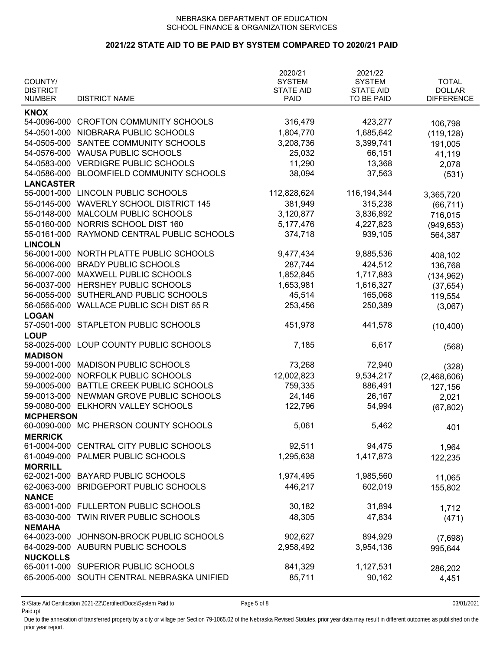### **2021/22 STATE AID TO BE PAID BY SYSTEM COMPARED TO 2020/21 PAID**

|                               |                                            | 2020/21          | 2021/22          |                   |
|-------------------------------|--------------------------------------------|------------------|------------------|-------------------|
| COUNTY/                       |                                            | <b>SYSTEM</b>    | <b>SYSTEM</b>    | <b>TOTAL</b>      |
| <b>DISTRICT</b>               |                                            | <b>STATE AID</b> | <b>STATE AID</b> | <b>DOLLAR</b>     |
| <b>NUMBER</b>                 | <b>DISTRICT NAME</b>                       | <b>PAID</b>      | TO BE PAID       | <b>DIFFERENCE</b> |
| <b>KNOX</b>                   |                                            |                  |                  |                   |
| 54-0096-000                   | <b>CROFTON COMMUNITY SCHOOLS</b>           | 316,479          | 423,277          | 106,798           |
| 54-0501-000                   | NIOBRARA PUBLIC SCHOOLS                    | 1,804,770        | 1,685,642        | (119, 128)        |
| 54-0505-000                   | SANTEE COMMUNITY SCHOOLS                   | 3,208,736        | 3,399,741        | 191,005           |
| 54-0576-000                   | <b>WAUSA PUBLIC SCHOOLS</b>                | 25,032           | 66,151           | 41,119            |
| 54-0583-000                   | <b>VERDIGRE PUBLIC SCHOOLS</b>             | 11,290           | 13,368           | 2,078             |
| 54-0586-000                   | BLOOMFIELD COMMUNITY SCHOOLS               | 38,094           | 37,563           | (531)             |
| <b>LANCASTER</b>              |                                            |                  |                  |                   |
| 55-0001-000                   | LINCOLN PUBLIC SCHOOLS                     | 112,828,624      | 116, 194, 344    | 3,365,720         |
| 55-0145-000                   | <b>WAVERLY SCHOOL DISTRICT 145</b>         | 381,949          | 315,238          | (66, 711)         |
| 55-0148-000                   | <b>MALCOLM PUBLIC SCHOOLS</b>              | 3,120,877        | 3,836,892        | 716,015           |
| 55-0160-000                   | NORRIS SCHOOL DIST 160                     | 5,177,476        | 4,227,823        | (949, 653)        |
| 55-0161-000                   | RAYMOND CENTRAL PUBLIC SCHOOLS             | 374,718          | 939,105          | 564,387           |
| <b>LINCOLN</b>                |                                            |                  |                  |                   |
| 56-0001-000                   | NORTH PLATTE PUBLIC SCHOOLS                | 9,477,434        | 9,885,536        | 408,102           |
| 56-0006-000                   | <b>BRADY PUBLIC SCHOOLS</b>                | 287,744          | 424,512          | 136,768           |
| 56-0007-000                   | MAXWELL PUBLIC SCHOOLS                     | 1,852,845        | 1,717,883        | (134, 962)        |
| 56-0037-000                   | HERSHEY PUBLIC SCHOOLS                     | 1,653,981        | 1,616,327        | (37, 654)         |
| 56-0055-000                   | SUTHERLAND PUBLIC SCHOOLS                  | 45,514           | 165,068          | 119,554           |
| 56-0565-000                   | <b>WALLACE PUBLIC SCH DIST 65 R</b>        | 253,456          | 250,389          | (3,067)           |
| <b>LOGAN</b>                  |                                            |                  |                  |                   |
| 57-0501-000                   | STAPLETON PUBLIC SCHOOLS                   | 451,978          | 441,578          | (10, 400)         |
| <b>LOUP</b>                   |                                            |                  |                  |                   |
| 58-0025-000                   | LOUP COUNTY PUBLIC SCHOOLS                 | 7,185            | 6,617            | (568)             |
| <b>MADISON</b>                |                                            |                  |                  |                   |
| 59-0001-000                   | <b>MADISON PUBLIC SCHOOLS</b>              | 73,268           | 72,940           | (328)             |
| 59-0002-000                   | NORFOLK PUBLIC SCHOOLS                     | 12,002,823       | 9,534,217        | (2,468,606)       |
| 59-0005-000                   | BATTLE CREEK PUBLIC SCHOOLS                | 759,335          | 886,491          | 127,156           |
| 59-0013-000                   | NEWMAN GROVE PUBLIC SCHOOLS                | 24,146           | 26,167           | 2,021             |
| 59-0080-000                   | ELKHORN VALLEY SCHOOLS                     | 122,796          | 54,994           | (67, 802)         |
| <b>MCPHERSON</b>              |                                            |                  |                  |                   |
|                               | 60-0090-000 MC PHERSON COUNTY SCHOOLS      | 5,061            | 5,462            | 401               |
| <b>MERRICK</b>                |                                            |                  |                  |                   |
| 61-0004-000                   | CENTRAL CITY PUBLIC SCHOOLS                | 92,511           | 94,475           | 1,964             |
| 61-0049-000                   | PALMER PUBLIC SCHOOLS                      | 1,295,638        | 1,417,873        | 122,235           |
| <b>MORRILL</b><br>62-0021-000 | <b>BAYARD PUBLIC SCHOOLS</b>               |                  |                  |                   |
|                               |                                            | 1,974,495        | 1,985,560        | 11,065            |
| 62-0063-000                   | <b>BRIDGEPORT PUBLIC SCHOOLS</b>           | 446,217          | 602,019          | 155,802           |
| <b>NANCE</b>                  | 63-0001-000 FULLERTON PUBLIC SCHOOLS       | 30,182           | 31,894           |                   |
|                               |                                            |                  |                  | 1,712             |
| 63-0030-000                   | TWIN RIVER PUBLIC SCHOOLS                  | 48,305           | 47,834           | (471)             |
| <b>NEMAHA</b><br>64-0023-000  | JOHNSON-BROCK PUBLIC SCHOOLS               | 902,627          | 894,929          |                   |
| 64-0029-000                   | <b>AUBURN PUBLIC SCHOOLS</b>               | 2,958,492        |                  | (7,698)           |
| <b>NUCKOLLS</b>               |                                            |                  | 3,954,136        | 995,644           |
|                               | 65-0011-000 SUPERIOR PUBLIC SCHOOLS        | 841,329          | 1,127,531        |                   |
|                               | 65-2005-000 SOUTH CENTRAL NEBRASKA UNIFIED | 85,711           | 90,162           | 286,202           |
|                               |                                            |                  |                  | 4,451             |

S:\State Aid Certification 2021-22\Certified\Docs\System Paid to Page 5 of 8 03/01/2021 Paid.rpt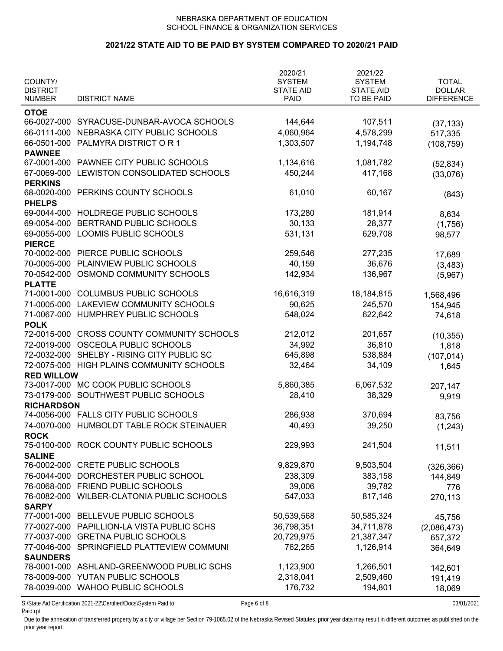# **2021/22 STATE AID TO BE PAID BY SYSTEM COMPARED TO 2020/21 PAID**

|                                  |                                           | 2020/21                         | 2021/22                        |                                    |
|----------------------------------|-------------------------------------------|---------------------------------|--------------------------------|------------------------------------|
| COUNTY/                          |                                           | <b>SYSTEM</b>                   | <b>SYSTEM</b>                  | <b>TOTAL</b>                       |
| <b>DISTRICT</b><br><b>NUMBER</b> | <b>DISTRICT NAME</b>                      | <b>STATE AID</b><br><b>PAID</b> | <b>STATE AID</b><br>TO BE PAID | <b>DOLLAR</b><br><b>DIFFERENCE</b> |
|                                  |                                           |                                 |                                |                                    |
| <b>OTOE</b>                      |                                           |                                 |                                |                                    |
| 66-0027-000                      | SYRACUSE-DUNBAR-AVOCA SCHOOLS             | 144,644                         | 107,511                        | (37, 133)                          |
| 66-0111-000                      | NEBRASKA CITY PUBLIC SCHOOLS              | 4,060,964                       | 4,578,299                      | 517,335                            |
| 66-0501-000                      | PALMYRA DISTRICT OR 1                     | 1,303,507                       | 1,194,748                      | (108, 759)                         |
| <b>PAWNEE</b>                    |                                           |                                 |                                |                                    |
| 67-0001-000                      | PAWNEE CITY PUBLIC SCHOOLS                | 1,134,616                       | 1,081,782                      | (52, 834)                          |
| 67-0069-000                      | LEWISTON CONSOLIDATED SCHOOLS             | 450,244                         | 417,168                        | (33,076)                           |
| <b>PERKINS</b>                   |                                           |                                 |                                |                                    |
| 68-0020-000                      | PERKINS COUNTY SCHOOLS                    | 61,010                          | 60,167                         | (843)                              |
| <b>PHELPS</b>                    |                                           |                                 |                                |                                    |
| 69-0044-000                      | HOLDREGE PUBLIC SCHOOLS                   | 173,280                         | 181,914                        | 8,634                              |
| 69-0054-000                      | BERTRAND PUBLIC SCHOOLS                   | 30,133                          | 28,377                         | (1,756)                            |
| 69-0055-000                      | LOOMIS PUBLIC SCHOOLS                     | 531,131                         | 629,708                        | 98,577                             |
| <b>PIERCE</b>                    | PIERCE PUBLIC SCHOOLS                     |                                 |                                |                                    |
| 70-0002-000                      |                                           | 259,546                         | 277,235                        | 17,689                             |
| 70-0005-000                      | PLAINVIEW PUBLIC SCHOOLS                  | 40,159                          | 36,676                         | (3, 483)                           |
| 70-0542-000                      | OSMOND COMMUNITY SCHOOLS                  | 142,934                         | 136,967                        | (5,967)                            |
| <b>PLATTE</b><br>71-0001-000     | <b>COLUMBUS PUBLIC SCHOOLS</b>            | 16,616,319                      |                                |                                    |
|                                  |                                           |                                 | 18,184,815                     | 1,568,496                          |
| 71-0005-000                      | <b>LAKEVIEW COMMUNITY SCHOOLS</b>         | 90,625                          | 245,570                        | 154,945                            |
| 71-0067-000                      | HUMPHREY PUBLIC SCHOOLS                   | 548,024                         | 622,642                        | 74,618                             |
| <b>POLK</b><br>72-0015-000       | <b>CROSS COUNTY COMMUNITY SCHOOLS</b>     | 212,012                         | 201,657                        |                                    |
| 72-0019-000                      | OSCEOLA PUBLIC SCHOOLS                    | 34,992                          |                                | (10, 355)                          |
| 72-0032-000                      | SHELBY - RISING CITY PUBLIC SC            |                                 | 36,810                         | 1,818                              |
|                                  |                                           | 645,898                         | 538,884                        | (107, 014)                         |
| 72-0075-000<br><b>RED WILLOW</b> | HIGH PLAINS COMMUNITY SCHOOLS             | 32,464                          | 34,109                         | 1,645                              |
| 73-0017-000                      | MC COOK PUBLIC SCHOOLS                    | 5,860,385                       | 6,067,532                      |                                    |
| 73-0179-000                      | SOUTHWEST PUBLIC SCHOOLS                  | 28,410                          | 38,329                         | 207,147                            |
| <b>RICHARDSON</b>                |                                           |                                 |                                | 9,919                              |
|                                  | 74-0056-000 FALLS CITY PUBLIC SCHOOLS     | 286,938                         | 370,694                        |                                    |
| 74-0070-000                      | <b>HUMBOLDT TABLE ROCK STEINAUER</b>      | 40,493                          | 39,250                         | 83,756                             |
| <b>ROCK</b>                      |                                           |                                 |                                | (1,243)                            |
| 75-0100-000                      | ROCK COUNTY PUBLIC SCHOOLS                | 229,993                         | 241,504                        | 11,511                             |
| <b>SALINE</b>                    |                                           |                                 |                                |                                    |
| 76-0002-000                      | <b>CRETE PUBLIC SCHOOLS</b>               | 9,829,870                       | 9,503,504                      | (326, 366)                         |
| 76-0044-000                      | DORCHESTER PUBLIC SCHOOL                  | 238,309                         | 383,158                        | 144,849                            |
| 76-0068-000                      | FRIEND PUBLIC SCHOOLS                     | 39,006                          | 39,782                         | 776                                |
| 76-0082-000                      | WILBER-CLATONIA PUBLIC SCHOOLS            | 547,033                         | 817,146                        | 270,113                            |
| <b>SARPY</b>                     |                                           |                                 |                                |                                    |
| 77-0001-000                      | BELLEVUE PUBLIC SCHOOLS                   | 50,539,568                      | 50,585,324                     | 45,756                             |
| 77-0027-000                      | PAPILLION-LA VISTA PUBLIC SCHS            | 36,798,351                      | 34,711,878                     | (2,086,473)                        |
| 77-0037-000                      | <b>GRETNA PUBLIC SCHOOLS</b>              | 20,729,975                      | 21,387,347                     | 657,372                            |
| 77-0046-000                      | SPRINGFIELD PLATTEVIEW COMMUNI            | 762,265                         | 1,126,914                      | 364,649                            |
| <b>SAUNDERS</b>                  |                                           |                                 |                                |                                    |
|                                  | 78-0001-000 ASHLAND-GREENWOOD PUBLIC SCHS | 1,123,900                       | 1,266,501                      | 142,601                            |
| 78-0009-000                      | YUTAN PUBLIC SCHOOLS                      | 2,318,041                       | 2,509,460                      | 191,419                            |
|                                  | 78-0039-000 WAHOO PUBLIC SCHOOLS          | 176,732                         | 194,801                        | 18,069                             |
|                                  |                                           |                                 |                                |                                    |

S:\State Aid Certification 2021-22\Certified\Docs\System Paid to Page 6 of 8 03/01/2021 Paid.rpt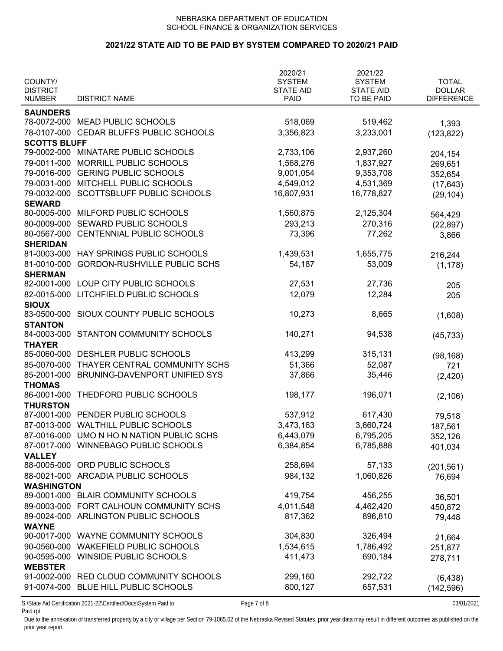## **2021/22 STATE AID TO BE PAID BY SYSTEM COMPARED TO 2020/21 PAID**

| COUNTY/<br><b>DISTRICT</b> |                                           | 2020/21<br><b>SYSTEM</b><br><b>STATE AID</b> | 2021/22<br><b>SYSTEM</b><br><b>STATE AID</b> | <b>TOTAL</b><br><b>DOLLAR</b> |
|----------------------------|-------------------------------------------|----------------------------------------------|----------------------------------------------|-------------------------------|
| <b>NUMBER</b>              | <b>DISTRICT NAME</b>                      | <b>PAID</b>                                  | TO BE PAID                                   | <b>DIFFERENCE</b>             |
| <b>SAUNDERS</b>            |                                           |                                              |                                              |                               |
| 78-0072-000                | <b>MEAD PUBLIC SCHOOLS</b>                | 518,069                                      | 519,462                                      | 1,393                         |
| 78-0107-000                | CEDAR BLUFFS PUBLIC SCHOOLS               | 3,356,823                                    | 3,233,001                                    | (123, 822)                    |
| <b>SCOTTS BLUFF</b>        |                                           |                                              |                                              |                               |
|                            | 79-0002-000 MINATARE PUBLIC SCHOOLS       | 2,733,106                                    | 2,937,260                                    | 204,154                       |
| 79-0011-000                | MORRILL PUBLIC SCHOOLS                    | 1,568,276                                    | 1,837,927                                    | 269,651                       |
|                            | 79-0016-000 GERING PUBLIC SCHOOLS         | 9,001,054                                    | 9,353,708                                    | 352,654                       |
|                            | 79-0031-000 MITCHELL PUBLIC SCHOOLS       | 4,549,012                                    | 4,531,369                                    | (17, 643)                     |
| 79-0032-000                | SCOTTSBLUFF PUBLIC SCHOOLS                | 16,807,931                                   | 16,778,827                                   | (29, 104)                     |
| <b>SEWARD</b>              |                                           |                                              |                                              |                               |
| 80-0005-000                | MILFORD PUBLIC SCHOOLS                    | 1,560,875                                    | 2,125,304                                    | 564,429                       |
| 80-0009-000                | SEWARD PUBLIC SCHOOLS                     | 293,213                                      | 270,316                                      | (22, 897)                     |
| 80-0567-000                | CENTENNIAL PUBLIC SCHOOLS                 | 73,396                                       | 77,262                                       | 3,866                         |
| <b>SHERIDAN</b>            |                                           |                                              |                                              |                               |
| 81-0003-000                | HAY SPRINGS PUBLIC SCHOOLS                | 1,439,531                                    | 1,655,775                                    | 216,244                       |
| 81-0010-000                | <b>GORDON-RUSHVILLE PUBLIC SCHS</b>       | 54,187                                       | 53,009                                       | (1, 178)                      |
| <b>SHERMAN</b>             |                                           |                                              |                                              |                               |
| 82-0001-000                | LOUP CITY PUBLIC SCHOOLS                  | 27,531                                       | 27,736                                       | 205                           |
| 82-0015-000                | LITCHFIELD PUBLIC SCHOOLS                 | 12,079                                       | 12,284                                       | 205                           |
| <b>SIOUX</b>               |                                           |                                              |                                              |                               |
| 83-0500-000                | SIOUX COUNTY PUBLIC SCHOOLS               | 10,273                                       | 8,665                                        | (1,608)                       |
| <b>STANTON</b>             |                                           |                                              |                                              |                               |
| 84-0003-000                | STANTON COMMUNITY SCHOOLS                 | 140,271                                      | 94,538                                       | (45, 733)                     |
| <b>THAYER</b>              |                                           |                                              |                                              |                               |
| 85-0060-000                | DESHLER PUBLIC SCHOOLS                    | 413,299                                      | 315,131                                      | (98, 168)                     |
| 85-0070-000                | THAYER CENTRAL COMMUNITY SCHS             | 51,366                                       | 52,087                                       | 721                           |
| 85-2001-000                | BRUNING-DAVENPORT UNIFIED SYS             | 37,866                                       | 35,446                                       | (2, 420)                      |
| <b>THOMAS</b>              |                                           |                                              |                                              |                               |
| 86-0001-000                | THEDFORD PUBLIC SCHOOLS                   | 198,177                                      | 196,071                                      | (2, 106)                      |
| <b>THURSTON</b>            |                                           |                                              |                                              |                               |
|                            | 87-0001-000 PENDER PUBLIC SCHOOLS         | 537,912                                      | 617,430                                      | 79,518                        |
|                            | 87-0013-000 WALTHILL PUBLIC SCHOOLS       | 3,473,163                                    | 3,660,724                                    | 187,561                       |
|                            | 87-0016-000 UMO N HO N NATION PUBLIC SCHS | 6,443,079                                    | 6,795,205                                    | 352,126                       |
|                            | 87-0017-000 WINNEBAGO PUBLIC SCHOOLS      | 6,384,854                                    | 6,785,888                                    | 401,034                       |
| <b>VALLEY</b>              |                                           |                                              |                                              |                               |
| 88-0005-000                | ORD PUBLIC SCHOOLS                        | 258,694                                      | 57,133                                       | (201, 561)                    |
|                            | 88-0021-000 ARCADIA PUBLIC SCHOOLS        | 984,132                                      | 1,060,826                                    | 76,694                        |
| <b>WASHINGTON</b>          |                                           |                                              |                                              |                               |
|                            | 89-0001-000 BLAIR COMMUNITY SCHOOLS       | 419,754                                      | 456,255                                      | 36,501                        |
|                            | 89-0003-000 FORT CALHOUN COMMUNITY SCHS   | 4,011,548                                    | 4,462,420                                    | 450,872                       |
| 89-0024-000                | ARLINGTON PUBLIC SCHOOLS                  | 817,362                                      | 896,810                                      | 79,448                        |
| <b>WAYNE</b>               |                                           |                                              |                                              |                               |
|                            | 90-0017-000 WAYNE COMMUNITY SCHOOLS       | 304,830                                      | 326,494                                      | 21,664                        |
| 90-0560-000                | <b>WAKEFIELD PUBLIC SCHOOLS</b>           | 1,534,615                                    | 1,786,492                                    | 251,877                       |
| 90-0595-000                | <b>WINSIDE PUBLIC SCHOOLS</b>             | 411,473                                      | 690,184                                      |                               |
| <b>WEBSTER</b>             |                                           |                                              |                                              | 278,711                       |
|                            | 91-0002-000 RED CLOUD COMMUNITY SCHOOLS   | 299,160                                      | 292,722                                      |                               |
|                            | 91-0074-000 BLUE HILL PUBLIC SCHOOLS      | 800,127                                      | 657,531                                      | (6, 438)                      |
|                            |                                           |                                              |                                              | (142, 596)                    |

S:\State Aid Certification 2021-22\Certified\Docs\System Paid to Page 7 of 8 03/01/2021 Paid.rpt